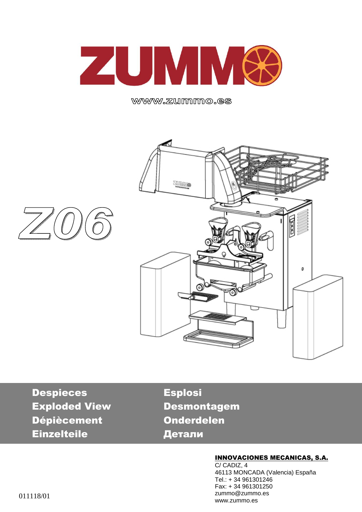

www.zummo.es





Despieces Esplosi Exploded View Desmontagem Dépiècement Onderdelen Einzelteile Детали

#### INNOVACIONES MECANICAS, S.A.

C/ CADIZ, 4 46113 MONCADA (Valencia) España Tel.: + 34 961301246 Fax: + 34 961301250 zummo@zummo.es www.zummo.es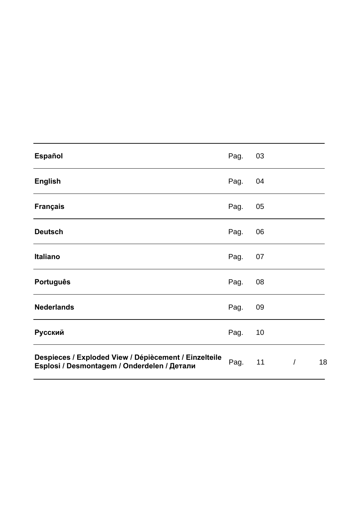| <b>Español</b>                                                                                       | Pag. | 03 |                |    |
|------------------------------------------------------------------------------------------------------|------|----|----------------|----|
| <b>English</b>                                                                                       | Pag. | 04 |                |    |
| <b>Français</b>                                                                                      | Pag. | 05 |                |    |
| <b>Deutsch</b>                                                                                       | Pag. | 06 |                |    |
| Italiano                                                                                             | Pag. | 07 |                |    |
| <b>Português</b>                                                                                     | Pag. | 08 |                |    |
| <b>Nederlands</b>                                                                                    | Pag. | 09 |                |    |
| Русский                                                                                              | Pag. | 10 |                |    |
| Despieces / Exploded View / Dépiècement / Einzelteile<br>Esplosi / Desmontagem / Onderdelen / Детали | Pag. | 11 | $\overline{1}$ | 18 |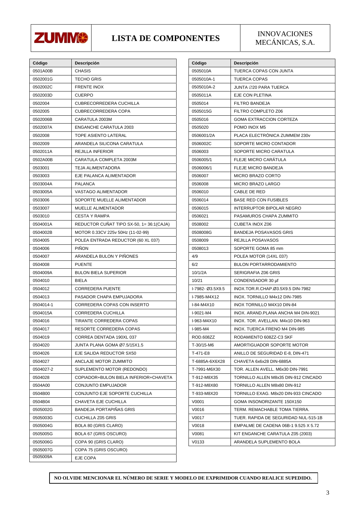

# **LISTA DE COMPONENTES** INNOVACIONES

MECÁNICAS, S.A.

| Código    | Descripción                              |
|-----------|------------------------------------------|
| 0501A00B  | <b>CHASIS</b>                            |
| 0502001G  | TECHO GRIS                               |
| 0502002C  | <b>FRENTE INOX</b>                       |
| 0502003D  | <b>CUERPO</b>                            |
| 0502004   | CUBRECORREDERA CUCHILLA                  |
| 0502005   | CUBRECORREDERA COPA                      |
| 0502006B  | CARATULA 2003M                           |
| 0502007A  | <b>ENGANCHE CARATULA 2003</b>            |
| 0502008   | <b>TOPE ASIENTO LATERAL</b>              |
| 0502009   | ARANDELA SILICONA CARATULA               |
| 0502011A  | REJILLA INFERIOR                         |
| 0502A00B  | CARATULA COMPLETA 2003M                  |
| 0503001   | TEJA ALIMENTADORA                        |
| 0503003   | EJE PALANCA ALIMENTADOR                  |
| 0503004A  | <b>PALANCA</b>                           |
| 0503005A  | VASTAGO ALIMENTADOR                      |
| 0503006   | SOPORTE MUELLE ALIMENTADOR               |
| 0503007   | <b>MUELLE ALIMENTADOR</b>                |
| 0503010   | <b>CESTA Y RAMPA</b>                     |
| 0504001A  | REDUCTOR CUÑAT TIPO SX-50, 1= 36:1(CAJA) |
| 0504002B  | MOTOR 0.33CV 225v 50Hz (11-02-99)        |
| 0504005   | POLEA ENTRADA REDUCTOR (60 XL 037)       |
| 0504006   | <b>PIÑON</b>                             |
| 0504007   | ARANDELA BULON Y PIÑONES                 |
| 0504008   | <b>PUENTE</b>                            |
| 0504009A  | <b>BULON BIELA SUPERIOR</b>              |
| 0504010   | <b>BIELA</b>                             |
| 0504012   | <b>CORREDERA PUENTE</b>                  |
| 0504013   | PASADOR CHAPA EMPUJADORA                 |
| 0504014-1 | CORREDERA COPAS CON INSERTO              |
| 0504015A  | CORREDERA CUCHILLA                       |
| 0504016   | <b>TIRANTE CORREDERA COPAS</b>           |
| 0504017   | RESORTE CORREDERA COPAS                  |
| 0504019   | CORREA DENTADA 190XL 037                 |
| 0504020   | JUNTA PLANA GOMA Ø7.5/15X1.5             |
| 0504026   | EJE SALIDA REDUCTOR SX50                 |
| 0504027   | ANCLAJE MOTOR ZUMMITO                    |
| 0504027-2 | SUPLEMENTO MOTOR (REDONDO)               |
| 0504028   | COPIADOR+BULON BIELA INFERIOR+CHAVETA    |
| 0504A00   | CONJUNTO EMPUJADOR                       |
| 0504B00   | CONJUNTO EJE SOPORTE CUCHILLA            |
| 0504B04   | CHAVETA EJE CUCHILLA                     |
| 0505002G  | <b>BANDEJA PORTAPIÑAS GRIS</b>           |
| 0505003G  | <b>CUCHILLA Z05 GRIS</b>                 |
| 0505004G  | BOLA 80 (GRIS CLARO)                     |
| 0505005G  | BOLA 67 (GRIS OSCURO)                    |
| 0505006G  | COPA 90 (GRIS CLARO)                     |
| 0505007G  | COPA 75 (GRIS OSCURO)                    |
| 0505009A  | EJE COPA                                 |
|           |                                          |

| Código<br>0505010A | Descripción<br>TUERCA COPAS CON JUNTA |
|--------------------|---------------------------------------|
| 0505010A-1         | <b>TUERCA COPAS</b>                   |
| 0505010A-2         | JUNTA ∅20 PARA TUERCA                 |
| 0505011A           | EJE CON PLETINA                       |
|                    |                                       |
| 0505014            | <b>FILTRO BANDEJA</b>                 |
| 0505015G           | FILTRO COMPLETO Z06                   |
| 0505016            | <b>GOMA EXTRACCION CORTEZA</b>        |
| 0505020            | POMO INOX M5                          |
| 0506001/2A         | PLACA ELECTRÓNICA ZUMMEM 230v         |
| 0506002C           | SOPORTE MICRO CONTADOR                |
| 0506003            | SOPORTE MICRO CARATULA                |
| 0506005/1          | FLEJE MICRO CARATULA                  |
| 0506006/1          | FLEJE MICRO BANDEJA                   |
| 0506007            | <b>MICRO BRAZO CORTO</b>              |
| 0506008            | <b>MICRO BRAZO LARGO</b>              |
| 0506010            | <b>CABLE DE RED</b>                   |
| 0506014            | <b>BASE RED CON FUSIBLES</b>          |
| 0506015            | <b>INTERRUPTOR BIPOLAR NEGRO</b>      |
| 0506021            | PASAMUROS CHAPA ZUMMITO               |
| 0508002            | <b>CUBETA INOX Z06</b>                |
| 0508008G           | <b>BANDEJA POSAVASOS GRIS</b>         |
| 0508009            | REJILLA POSAVASOS                     |
| 0508013            | SOPORTE GOMA 85 mm                    |
| 4/9                | POLEA MOTOR (14XL 037)                |
| 6/2                | <b>BULON PORTARRODAMIENTO</b>         |
| 10/1/2A            | SERIGRAFIA Z06 GRIS                   |
| 10/21              | CONDENSADOR 30 µf                     |
| I-7982- Ø3.5X9.5   | INOX.TOR.R.CHAP.Ø3.5X9.5 DIN-7982     |
| I-7985-M4X12       | INOX. TORNILLO M4x12 DIN-7985         |
| I-84-M4X10         | INOX TORNILLO M4X10 DIN-84            |
| I-9021-M4          | INOX. ARAND PLANA ANCHA M4 DIN-9021   |
| I-963-M4X10        | INOX. TOR. AVELLAN. M4x10 DIN-963     |
| I-985-M4           | INOX. TUERCA FRENO M4 DIN-985         |
| ROD.608ZZ          | RODAMIENTO 608ZZ-C3 SKF               |
| T-30/15-M6         | AMORTIGUADOR SOPORTE MOTOR            |
| T-471-E8           | ANILLO DE SEGURIDAD E-8, DIN-471      |
| T-6885A-6X6X28     | CHAVETA 6x6x28 DIN-6885A              |
| T-7991-M6X30       | TOR. ALLEN AVELL. M6x30 DIN-7991      |
| T-912-M8X35        | TORNILLO ALLEN M8x35 DIN-912 CINCADO  |
| T-912-M8X80        | TORNILLO ALLEN M8x80 DIN-912          |
| T-933-M8X20        | TORNILLO EXAG. M8x20 DIN-933 CINCADO  |
| V0001              | GOMA INSONORIZANTE 150X150            |
| V0016              | TERM. REMACHABLE TOMA TIERRA.         |
| V0017              | TUER. RAPIDA DE SEGURIDAD NUL-515-1B  |
| V0018              | EMPALME DE CADENA 06B-1 9.525 X 5.72  |
| V0081              | KIT ENGANCHE CARATULA Z05 (2003)      |
| V0133              | ARANDELA SUPLEMENTO BOLA              |
|                    |                                       |

**NO OLVIDE MENCIONAR EL NÚMERO DE SERIE Y MODELO DE EXPRIMIDOR CUANDO REALICE SUPEDIDO.**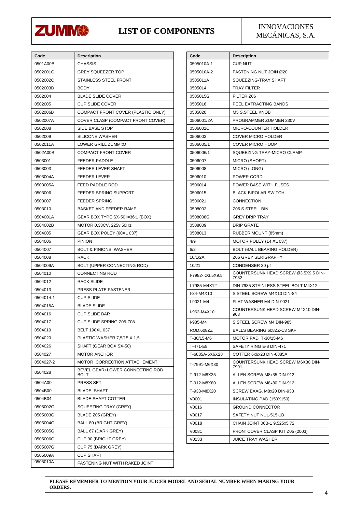

#### **LIST OF COMPONENTS** INNOVACIONES

MECÁNICAS, S.A.

| Code      | <b>Description</b>                      |
|-----------|-----------------------------------------|
| 0501A00B  | CHASSIS                                 |
| 0502001G  | GREY SQUEEZER TOP                       |
| 0502002C  | STAINLESS STEEL FRONT                   |
| 0502003D  | <b>BODY</b>                             |
| 0502004   | <b>BLADE SLIDE COVER</b>                |
| 0502005   | <b>CUP SLIDE COVER</b>                  |
| 0502006B  | COMPACT FRONT COVER (PLASTIC ONLY)      |
| 0502007A  | COVER CLASP (COMPACT FRONT COVER)       |
| 0502008   | SIDE BASE STOP                          |
| 0502009   | <b>SILICONE WASHER</b>                  |
| 0502011A  | LOWER GRILL ZUMMitO                     |
| 0502A00B  | <b>COMPACT FRONT COVER</b>              |
| 0503001   | <b>FEEDER PADDLE</b>                    |
| 0503003   | FEEDER LEVER SHAFT                      |
| 0503004A  | <b>FEEDER LEVER</b>                     |
| 0503005A  | <b>FEED PADDLE ROD</b>                  |
| 0503006   | FEEDER SPRING SUPPORT                   |
| 0503007   | <b>FEEDER SPRING</b>                    |
| 0503010   | <b>BASKET AND FEEDER RAMP</b>           |
| 0504001A  | GEAR BOX TYPE SX-50 i=36:1 (BOX)        |
| 0504002B  | MOTOR 0,33CV, 225v 50Hz                 |
| 0504005   | GEAR BOX POLEY (60XL 037)               |
| 0504006   | <b>PINION</b>                           |
| 0504007   | <b>BOLT &amp; PINIONS WASHER</b>        |
| 0504008   | <b>RACK</b>                             |
| 0504009A  | BOLT (UPPER CONNECTING ROD)             |
| 0504010   | <b>CONNECTING ROD</b>                   |
| 0504012   | RACK SLIDE                              |
| 0504013   | PRESS PLATE FASTENER                    |
| 0504014-1 | <b>CUP SLIDE</b>                        |
| 0504015A  | <b>BLADE SLIDE</b>                      |
| 0504016   | <b>CUP SLIDE BAR</b>                    |
| 0504017   | CUP SLIDE SPRING Z05-Z08                |
| 0504019   | <b>BELT 190XL 037</b>                   |
| 0504020   | PLASTIC WASHER 7,5/15 X 1,5             |
| 0504026   | SHAFT (GEAR BOX SX-50)                  |
| 0504027   | <b>MOTOR ANCHOR</b>                     |
| 0504027-2 | MOTOR CORRECTION ATTACHEMENT            |
| 0504028   | BEVEL GEAR+LOWER CONNECTING ROD<br>BOLT |
| 0504A00   | PRESS SET                               |
| 0504B00   | <b>BLADE SHAFT</b>                      |
| 0504B04   | <b>BLADE SHAFT COTTER</b>               |
| 0505002G  | SQUEEZING TRAY (GREY)                   |
| 0505003G  | BLADE Z05 (GREY)                        |
| 0505004G  | BALL 80 (BRIGHT GREY)                   |
| 0505005G  | BALL 67 (DARK GREY)                     |
| 0505006G  | CUP 90 (BRIGHT GREY)                    |
| 0505007G  | CUP 75 (DARK GREY)                      |
| 0505009A  | <b>CUP SHAFT</b>                        |
| 0505010A  | FASTENING NUT WITH RAKED JOINT          |

| Code             | <b>Description</b>                           |
|------------------|----------------------------------------------|
| 0505010A-1       | <b>CUP NUT</b>                               |
| 0505010A-2       | FASTENING NUT JOIN ∅20                       |
| 0505011A         | SQUEEZING-TRAY SHAFT                         |
| 0505014          | <b>TRAY FILTER</b>                           |
| 0505015G         | FILTER Z06                                   |
| 0505016          | PEEL EXTRACTING BANDS                        |
| 0505020          | M5 S.STEEL KNOB                              |
| 0506001/2A       | PROGRAMMER ZUMMEN 230V                       |
| 0506002C         | MICRO-COUNTER HOLDER                         |
| 0506003          | <b>COVER MICRO HOLDER</b>                    |
| 0506005/1        | <b>COVER MICRO HOOP</b>                      |
| 0506006/1        | SQUEEZING TRAY-MICRO CLAMP                   |
| 0506007          | <b>MICRO (SHORT)</b>                         |
| 0506008          | MICRO (LONG)                                 |
| 0506010          | POWER CORD                                   |
| 0506014          | POWER BASE WITH FUSES                        |
| 0506015          | <b>BLACK BIPOLAR SWITCH</b>                  |
| 0506021          | CONNECTION                                   |
| 0508002          | Z06 S.STEEL BIN                              |
| 0508008G         | <b>GREY DRIP TRAY</b>                        |
| 0508009          | <b>DRIP GRATE</b>                            |
| 0508013          | RUBBER MOUNT (85mm)                          |
| 4/9              | MOTOR POLEY (14 XL 037)                      |
| 6/2              | BOLT (BALL BEARING HOLDER)                   |
| 10/1/2A          | Z06 GREY SERIGRAPHY                          |
| 10/21            | CONDENSER 30 µf                              |
| I-7982- Ø3.5X9.5 | COUNTERSUNK HEAD SCREW Ø3.5X9.5 DIN-<br>7982 |
| I-7985-M4X12     | DIN-7985 STAINLESS STEEL BOLT M4X12          |
| I-84-M4X10       | S.STEEL SCREW M4X10 DIN-84                   |
| I-9021-M4        | FLAT WASHER M4 DIN-9021                      |
| I-963-M4X10      | COUNTERSUNK HEAD SCREW M4X10 DIN-<br>963     |
| I-985-M4         | S.STEEL SCREW M4 DIN-985                     |
| ROD.608ZZ        | BALLS BEARING 608ZZ-C3 SKF                   |
| T-30/15-M6       | MOTOR PAD T-30/15-M6                         |
| T-471-E8         | SAFETY RING E-8 DIN-471                      |
| T-6885A-6X6X28   | COTTER 6x6x28 DIN-6885A                      |
| T-7991-M6X30     | COUNTERSUNK HEAD SCREW M6X30 DIN-<br>7991    |
| T-912-M8X35      | ALLEN SCREW M8x35 DIN-912                    |
| T-912-M8X80      | ALLEN SCREW M8x80 DIN-912                    |
| T-933-M8X20      | SCREW EXAG. M8x20 DIN-933                    |
| V0001            | INSULATING PAD (150X150)                     |
| V0016            | <b>GROUND CONNECTOR</b>                      |
| V0017            | SAFETY NUT NUL-515-1B                        |
| V0018            | CHAIN JOINT 06B-1 9,525x5,72                 |
| V0081            | FRONTCOVER CLASP KIT Z05 (2003)              |
| V0133            | <b>JUICE TRAY WASHER</b>                     |

**PLEASE REMEMBER TO MENTION YOUR JUICER MODEL AND SERIAL NUMBER WHEN MAKING YOUR ORDERS.**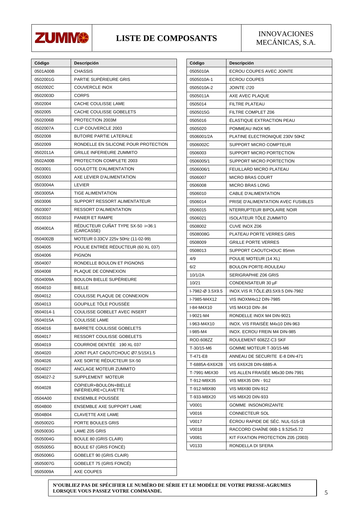

#### LISTE DE COMPOSANTS NEGÁNICAS SA

# MECÁNICAS, S.A.

| Código    | Descripción                                     |
|-----------|-------------------------------------------------|
| 0501A00B  | CHASSIS                                         |
| 0502001G  | PARTIE SUPÉRIEURE GRIS                          |
| 0502002C  | <b>COUVERCLE INOX</b>                           |
| 0502003D  | <b>CORPS</b>                                    |
| 0502004   | CACHE COULISSE LAME                             |
| 0502005   | CACHE COULISSE GOBELETS                         |
| 0502006B  | PROTECTION 2003M                                |
| 0502007A  | CLIP COUVERCLE 2003                             |
| 0502008   | <b>BUTOIRE PARTIE LATERALE</b>                  |
| 0502009   | RONDELLE EN SILICONE POUR PROTECTION            |
| 0502011A  | GRILLE INFERIEURE ZUMMITO                       |
| 0502A00B  | PROTECTION COMPLETE 2003                        |
| 0503001   | <b>GOULOTTE D'ALIMENTATION</b>                  |
| 0503003   | AXE LEVIER D'ALIMENTATION                       |
| 0503004A  | <b>LEVIER</b>                                   |
| 0503005A  | TIGE ALIMENTATION                               |
| 0503006   | SUPPORT RESSORT ALIMENTATEUR                    |
| 0503007   | <b>RESSORT D'ALIMENTATION</b>                   |
| 0503010   | PANIER ET RAMPE                                 |
| 0504001A  | RÉDUCTEUR CUÑAT TYPE SX-50 i=36:1<br>(CARCASSE) |
| 0504002B  | MOTEUR 0.33CV 225v 50Hz (11-02-99)              |
| 0504005   | POULIE ENTRÉE RÉDUCTEUR (60 XL 037)             |
| 0504006   | <b>PIGNON</b>                                   |
| 0504007   | RONDELLE BOULON ET PIGNONS                      |
| 0504008   | PLAQUE DE CONNEXION                             |
| 0504009A  | BOULON BIELLE SUPÉRIEURE                        |
| 0504010   | <b>BIELLE</b>                                   |
| 0504012   | COULISSE PLAQUE DE CONNEXION                    |
| 0504013   | GOUPILLE TÔLE POUSSÉE                           |
| 0504014-1 | COULISSE GOBELET AVEC INSERT                    |
| 0504015A  | <b>COULISSE LAME</b>                            |
| 0504016   | BARRETE COULISSE GOBELETS                       |
| 0504017   | RESSORT COULISSE GOBELETS                       |
| 0504019   | COURROIE DENTÉE<br>190 XL 037                   |
| 0504020   | JOINT PLAT CAOUTCHOUC Ø7.5/15X1.5               |
| 0504026   | AXE SORTIE RÉDUCTEUR SX-50                      |
| 0504027   | ANCLAGE MOTEUR ZUMMITO                          |
| 0504027-2 | SUPPLEMENT MOTEUR                               |
| 0504028   | COPIEUR+BOULON+BIELLE<br>INFÉRIEURE+CLAVETTE    |
| 0504A00   | <b>ENSEMBLE POUSSÉE</b>                         |
| 0504B00   | ENSEMBLE AXE SUPPORT LAME                       |
| 0504B04   | <b>CLAVETTE AXE LAME</b>                        |
| 0505002G  | PORTE BOULES GRIS                               |
| 0505003G  | LAME Z05 GRIS                                   |
| 0505004G  | <b>BOULE 80 (GRIS CLAIR)</b>                    |
| 0505005G  | BOULE 67 (GRIS FONCÉ)                           |
| 0505006G  | GOBELET 90 (GRIS CLAIR)                         |
| 0505007G  | GOBELET 75 (GRIS FONCÉ)                         |
| 0505009A  | AXE COUPES                                      |

| Código           | Descripción                        |
|------------------|------------------------------------|
| 0505010A         | ECROU COUPES AVEC JOINTE           |
| 0505010A-1       | <b>ECROU COUPES</b>                |
| 0505010A-2       | JOINTE ∅20                         |
| 0505011A         | AXE AVEC PLAQUE                    |
| 0505014          | FILTRE PLATEAU                     |
| 0505015G         | FILTRE COMPLET Z06                 |
| 0505016          | <b>ELASTIQUE EXTRACTION PEAU</b>   |
| 0505020          | POMMEAU INOX M5                    |
| 0506001/2A       | PLATINE ELECTRONIQUE 230V 50HZ     |
| 0506002C         | SUPPORT MICRO COMPTEUR             |
| 0506003          | SUPPORT MICRO PORTECTION           |
| 0506005/1        | SUPPORT MICRO PORTECTION           |
| 0506006/1        | FEUILLARD MICRO PLATEAU            |
| 0506007          | MICRO BRAS COURT                   |
| 0506008          | <b>MICRO BRAS LONG</b>             |
| 0506010          | <b>CABLE D'ALIMENTATION</b>        |
| 0506014          | PRISE D'ALIMENTATION AVEC FUSIBLES |
| 0506015          | NTERRUPTEUR BIPOLAIRE NOIR         |
| 0506021          | ISOLATEUR TÖLE ZUMMITO             |
| 0508002          | CUVE INOX Z06                      |
| 0508008G         | PLATEAU PORTE VERRES GRIS          |
| 0508009          | <b>GRILLE PORTE VERRES</b>         |
| 0508013          | SUPPORT CAOUTCHOUC 85mm            |
| 4/9              | POULIE MOTEUR (14 XL)              |
| 6/2              | <b>BOULON PORTE-ROULEAU</b>        |
| 10/1/2A          | SERIGRAPHIE Z06 GRIS               |
| 10/21            | CONDENSATEUR 30 µF                 |
| I-7982-Ø 3.5X9.5 | INOX.VIS R.TÖLE.Ø3.5X9.5 DIN-7982  |
| I-7985-M4X12     | VIS INOXM4x12 DIN-7985             |
| I-84-M4X10       | VIS M4X10 DIN-.84                  |
| I-9021-M4        | RONDELLE INOX M4 DIN-9021          |
| I-963-M4X10      | INOX. VIS FRAISÉE M4x10 DIN-963    |
| I-985-M4         | INOX. ECROU FREIN M4 DIN-985       |
| <b>ROD.608ZZ</b> | ROULEMENT 608ZZ-C3 SKF             |
| T-30/15-M6       | GOMME MOTEUR T-30/15-M6            |
| T-471-E8         | ANNEAU DE SECURITE E-8 DIN-471     |
| T-6885A-6X6X28   | VIS 6X6X28 DIN-6885-A              |
| T-7991-M6X30     | VIS ALLEN FRAISÉE M6x30 DIN-7991   |
| T-912-M8X35      | VIS M8X35 DIN - 912                |
| T-912-M8X80      | VIS M8X80 DIN-912                  |
| T-933-M8X20      | VIS M8X20 DIN-933                  |
| V0001            | <b>GOMME INSONORIZANTE</b>         |
| V0016            | CONNECTEUR SOL                     |
| V0017            | ÉCROU RAPIDE DE SÉC. NUL-515-1B    |
| V0018            | RACCORD CHAÎNE 06B-1 9.525x5.72    |
| V0081            | KIT FIXATION PROTECTION Z05 (2003) |
| V0133            | RONDELLA DI SFERA                  |

**N'OUBLIEZ PAS DE SPÉCIFIER LE NUMÉRO DE SÉRIE ET LE MODÈLE DE VOTRE PRESSE-AGRUMES LORSQUE VOUS PASSEZ VOTRE COMMANDE.**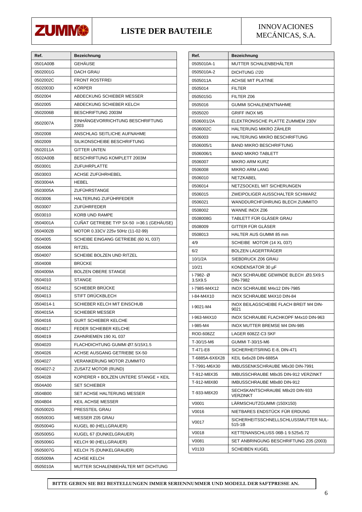

### **LISTE DER BAUTEILE** INNOVACIONES

MECÁNICAS, S.A.

| Ref.      | Bezeichnung                               |
|-----------|-------------------------------------------|
| 0501A00B  | GEHÄUSE                                   |
| 0502001G  | <b>DACH GRAU</b>                          |
| 0502002C  | <b>FRONT ROSTFREI</b>                     |
| 0502003D  | <b>KÖRPER</b>                             |
| 0502004   | ABDECKUNG SCHIEBER MESSER                 |
| 0502005   | ABDECKUNG SCHIEBER KELCH                  |
| 0502006B  | BESCHRIFTUNG 2003M                        |
| 0502007A  | EINHÄNGEVORRICHTUNG BESCHRIFTUNG<br>2003  |
| 0502008   | ANSCHLAG SEITLICHE AUFNAHME               |
| 0502009   | SILIKONSCHEIBE BESCHRIFTUNG               |
| 0502011A  | <b>GITTER UNTEN</b>                       |
| 0502A00B  | BESCHRIFTUNG KOMPLETT 2003M               |
| 0503001   | ZUFUHRPLATTE                              |
| 0503003   | ACHSE ZUFÜHRHEBEL                         |
| 0503004A  | HEBEL                                     |
| 0503005A  | ZUFÜHRSTANGE                              |
| 0503006   | HALTERUNG ZUFÜHRFEDER                     |
| 0503007   | ZUFÜHRFEDER                               |
| 0503010   | KORB UND RAMPE                            |
| 0504001A  | CUÑAT GETRIEBE TYP SX-50 i=36:1 (GEHÄUSE) |
| 0504002B  | MOTOR 0.33CV 225v 50Hz (11-02-99)         |
| 0504005   | SCHEIBE EINGANG GETRIEBE (60 XL 037)      |
| 0504006   | <b>RITZEL</b>                             |
| 0504007   | SCHEIBE BOLZEN UND RITZEL                 |
| 0504008   | <b>BRÜCKE</b>                             |
| 0504009A  | <b>BOLZEN OBERE STANGE</b>                |
| 0504010   | <b>STANGE</b>                             |
| 0504012   | SCHIEBER BRÜCKE                           |
| 0504013   | STIFT DRÜCKBLECH                          |
| 0504014-1 | SCHIEBER KELCH MIT EINSCHUB               |
| 0504015A  | <b>SCHIEBER MESSER</b>                    |
| 0504016   | <b>GURT SCHIEBER KELCHE</b>               |
| 0504017   | FEDER SCHIEBER KELCHE                     |
| 0504019   | ZAHNRIEMEN 190 XL 037                     |
| 0504020   | FLACHDICHTUNG GUMMI Ø7.5/15X1.5           |
| 0504026   | ACHSE AUSGANG GETRIEBE SX-50              |
| 0504027   | <b>VERANKERUNG MOTOR ZUMMITO</b>          |
| 0504027-2 | ZUSATZ MOTOR (RUND)                       |
| 0504028   | KOPIERER + BOLZEN UNTERE STANGE + KEIL    |
| 0504A00   | <b>SET SCHIEBER</b>                       |
| 0504B00   | SET ACHSE HALTERUNG MESSER                |
| 0504B04   | KEIL ACHSE MESSER                         |
| 0505002G  | PRESSTEIL GRAU                            |
| 0505003G  | MESSER Z05 GRAU                           |
| 0505004G  | KUGEL 80 (HELLGRAUER)                     |
| 0505005G  | KUGEL 67 (DUNKELGRAUER)                   |
| 0505006G  | KELCH 90 (HELLGRAUER)                     |
| 0505007G  | KELCH 75 (DUNKELGRAUER)                   |
| 0505009A  | ACHSE KELCH                               |
| 0505010A  | MUTTER SCHALENBEHÄLTER MIT DICHTUNG       |

| Ref.                | Bezeichnung                                       |
|---------------------|---------------------------------------------------|
| 0505010A-1          | MUTTER SCHALENBEHÄLTER                            |
| 0505010A-2          | DICHTUNG Ø20                                      |
| 0505011A            | <b>ACHSE MIT PLATINE</b>                          |
| 0505014             | <b>FILTER</b>                                     |
| 0505015G            | FILTER Z06                                        |
| 0505016             | <b>GUMMI SCHALENENTNAHME</b>                      |
| 0505020             | <b>GRIFF INOX M5</b>                              |
| 0506001/2A          | ELEKTRONISCHE PLATTE ZUMMEM 230V                  |
| 0506002C            | <b>HALTERUNG MIKRO ZAHLER</b>                     |
| 0506003             | HALTERUNG MIKRO BESCHRIFTUNG                      |
| 0506005/1           | <b>BAND MIKRO BESCHRIFTUNG</b>                    |
| 0506006/1           | <b>BAND MIKRO TABLETT</b>                         |
| 0506007             | <b>MIKRO ARM KURZ</b>                             |
| 0506008             | <b>MIKRO ARM LANG</b>                             |
| 0506010             | <b>NETZKABEL</b>                                  |
| 0506014             | NETZSOCKEL MIT SICHERUNGEN                        |
| 0506015             | ZWEIPOLIGER AUSSCHALTER SCHWARZ                   |
| 0506021             | WANDDURCHFÜHRUNG BLECH ZUMMITO                    |
| 0508002             | WANNE INOX Z06                                    |
| 0508008G            | TABLETT FUR GLASER GRAU                           |
| 0508009             | GITTER FÜR GLÄSER                                 |
| 0508013             | HALTER AUS GUMMI 85 mm                            |
| 4/9                 | SCHEIBE MOTOR (14 XL 037)                         |
| 6/2                 | BOLZEN LAGERTRAGER                                |
| 10/1/2A             | SIEBDRUCK Z06 GRAU                                |
| 10/21               | KONDENSATOR 30 µF                                 |
| I-7982-Ø<br>3.5X9.5 | INOX SCHRAUBE GEWINDE BLECH .03.5X9.5<br>DIN-7982 |
| I-7985-M4X12        | <b>INOX SCHRAUBE M4x12 DIN-7985</b>               |
| $I-84-M4X10$        | INOX SCHRAUBE M4X10 DIN-84                        |
| I-9021-M4           | INOX BEILAGSCHEIBE FLACH BREIT M4 DIN-<br>9021    |
| I-963-M4X10         | INOX SCHRAUBE FLACHKOPF M4x10 DIN-963             |
| I-985-M4            | INOX MUTTER BREMSE M4 DIN-985                     |
| <b>ROD.608ZZ</b>    | LAGER 608ZZ-C3 SKF                                |
| T-30/15-M6          | GUMMI T-30/15-M6                                  |
| T-471-E8            | SICHERHEITSRING E-8, DIN-471                      |
| T-6885A-6X6X28      | KEIL 6x6x28 DIN-6885A                             |
| T-7991-M6X30        | IMBUSSENKSCHRAUBE M6x30 DIN-7991                  |
| T-912-M8X35         | IMBUSSCHRAUBE M8x35 DIN-912 VERZINKT              |
| T-912-M8X80         | IMBUSSCHRAUBE M8x80 DIN-912                       |
| T-933-M8X20         | SECHSKANTSCHRAUBE M8x20 DIN-933<br>VERZINKT       |
| V0001               | LARMSCHUTZGUMMI (150X150)                         |
| V0016               | NIETBARES ENDSTÜCK FÜR ERDUNG                     |
| V0017               | SICHERHEITSSCHNELLSCHLUSSMUTTER NUL-<br>515-1B    |
| V0018               | KETTENANSCHLUSS 06B-1 9.525x5.72                  |
| V0081               | SET ANBRINGUNG BESCHRIFTUNG Z05 (2003)            |
| V0133               | <b>SCHEIBEN KUGEL</b>                             |

**BITTE GEBEN SIE BEI BESTELLUNGEN IMMER SERIENNUMMER UND MODELL DER SAFTPRESSE AN.**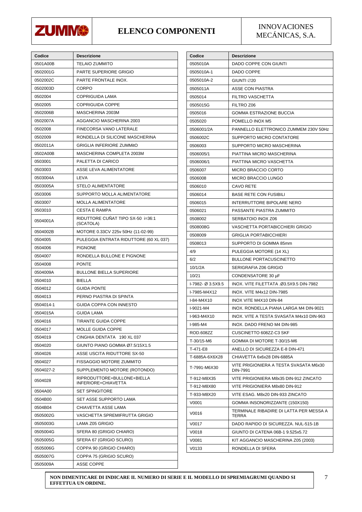

#### **ELENCO COMPONENTI** INNOVACIONES

MECÁNICAS, S.A.

| Codice    | <b>Descrizione</b>                                 |
|-----------|----------------------------------------------------|
| 0501A00B  | <b>TELAIO ZUMMITO</b>                              |
| 0502001G  | PARTE SUPERIORE GRIGIO                             |
| 0502002C  | PARTE FRONTALE INOX.                               |
| 0502003D  | CORPO                                              |
| 0502004   | <b>COPRIGUIDA LAMA</b>                             |
| 0502005   | <b>COPRIGUIDA COPPE</b>                            |
| 0502006B  | MASCHERINA 2003M                                   |
| 0502007A  | AGGANCIO MASCHERINA 2003                           |
| 0502008   | FINECORSA VANO LATERALE                            |
| 0502009   | RONDELLA DI SILICONE MASCHERINA                    |
| 0502011A  | <b>GRIGLIA INFERIORE ZUMMitO</b>                   |
| 0502A00B  | MASCHERINA COMPLETA 2003M                          |
| 0503001   | PALETTA DI CARICO                                  |
| 0503003   | ASSE LEVA ALIMENTATORE                             |
| 0503004A  | LEVA                                               |
| 0503005A  | <b>STELO ALIMENTATORE</b>                          |
| 0503006   | SUPPORTO MOLLA ALIMENTATORE                        |
| 0503007   | <b>MOLLA ALIMENTATORE</b>                          |
| 0503010   | <b>CESTA E RAMPA</b>                               |
| 0504001A  | RIDUTTORE CUÑAT TIPO SX-50 i=36:1<br>(SCATOLA)     |
| 0504002B  | MOTORE 0.33CV 225v 50Hz (11-02-99)                 |
| 0504005   | PULEGGIA ENTRATA RIDUTTORE (60 XL 037)             |
| 0504006   | <b>PIGNONE</b>                                     |
| 0504007   | RONDELLA BULLONE E PIGNONE                         |
| 0504008   | <b>PONTE</b>                                       |
| 0504009A  | <b>BULLONE BIELLA SUPERIORE</b>                    |
| 0504010   | <b>BIELLA</b>                                      |
| 0504012   | <b>GUIDA PONTE</b>                                 |
| 0504013   | PERNO PIASTRA DI SPINTA                            |
| 0504014-1 | GUIDA COPPA CON INNESTO                            |
| 0504015A  | GUIDA LAMA                                         |
| 0504016   | <b>TIRANTE GUIDA COPPE</b>                         |
| 0504017   | MOLLE GUIDA COPPE                                  |
| 0504019   | <b>CINGHIA DENTATA</b><br>190 XL 037               |
| 0504020   | GIUNTO PIANO GOMMA Ø7.5/15X1.5                     |
| 0504026   | ASSE USCITA RIDUTTORE SX-50                        |
| 0504027   | <b>FISSAGGIO MOTORE ZUMMITO</b>                    |
| 0504027-2 | SUPPLEMENTO MOTORE (ROTONDO)                       |
| 0504028   | RIPRODUTTORE+BULLONE+BIELLA<br>INFERIORE+CHIAVETTA |
| 0504A00   | <b>SET SPINGITORE</b>                              |
| 0504B00   | SET ASSE SUPPORTO LAMA                             |
| 0504B04   | CHIAVETTA ASSE LAMA                                |
| 0505002G  | VASCHETTA SPREMIFRUTTA GRIGIO                      |
| 0505003G  | LAMA Z05 GRIGIO                                    |
| 0505004G  | SFERA 80 (GRIGIO CHIARO)                           |
| 0505005G  | SFERA 67 (GRIGIO SCURO)                            |
| 0505006G  | COPPA 90 (GRIGIO CHIARO)                           |
| 0505007G  | COPPA 75 (GRIGIO SCURO)                            |
| 0505009A  | ASSE COPPE                                         |

| Codice            | <b>Descrizione</b>                                 |
|-------------------|----------------------------------------------------|
| 0505010A          | DADO COPPE CON GIUNTI                              |
| 0505010A-1        | DADO COPPE                                         |
| 0505010A-2        | GIUNTI Ø20                                         |
| 0505011A          | <b>ASSE CON PIASTRA</b>                            |
| 0505014           | <b>FILTRO VASCHETTA</b>                            |
| 0505015G          | FILTRO Z06                                         |
| 0505016           | GOMMA ESTRAZIONE BUCCIA                            |
| 0505020           | POMELLO INOX M5                                    |
| 0506001/2A        | PANNELLO ELETTRONICO ZUMMEM 230V 50Hz              |
| 0506002C          | SUPPORTO MICRO CONTATORE                           |
| 0506003           | SUPPORTO MICRO MASCHERINA                          |
| 0506005/1         | PIATTINA MICRO MASCHERINA                          |
| 0506006/1         | PIATTINA MICRO VASCHETTA                           |
| 0506007           | <b>MICRO BRACCIO CORTO</b>                         |
| 0506008           | MICRO BRACCIO LUNGO                                |
| 0506010           | CAVO RETE                                          |
| 0506014           | <b>BASE RETE CON FUSIBILI</b>                      |
| 0506015           | INTERRUTTORE BIPOLARE NERO                         |
| 0506021           | PASSANTE PIASTRA ZUMMITO                           |
| 0508002           | SERBATOIO INOX Z06                                 |
| 0508008G          | VASCHETTA PORTABICCHIERI GRIGIO                    |
| 0508009           | GRIGLIA PORTABICCHIERI                             |
| 0508013           | SUPPORTO DI GOMMA 85mm                             |
| 4/9               | PULEGGIA MOTORE (14 XL)                            |
| 6/2               | <b>BULLONE PORTACUSCINETTO</b>                     |
| 10/1/2A           | SERIGRAFIA Z06 GRIGIO                              |
| 10/21             | CONDENSATORE 30 µF                                 |
| I-7982- Ø 3.5X9.5 | INOX. VITE FILETTATA .Ø3.5X9.5 DIN-7982            |
| I-7985-M4X12      | INOX. VITE M4x12 DIN-7985                          |
| I-84-M4X10        | INOX VITE M4X10 DIN-84                             |
| $1-9021 - M4$     | INOX, RONDELLA PIANA LARGA M4 DIN-9021             |
| I-963-M4X10       | INOX. VITE A TESTA SVASATA M4x10 DIN-963           |
| I-985-M4          | INOX. DADO FRENO M4 DIN-985                        |
| ROD.608ZZ         | CUSCINETTO 608ZZ-C3 SKF                            |
| T-30/15-M6        | GOMMA DI MOTORE T-30/15-M6                         |
| T-471-E8          | ANELLO DI SICUREZZA E-8 DIN-471                    |
| T-6885A-6X6X28    | CHIAVETTA 6x6x28 DIN-6885A                         |
| T-7991-M6X30      | VITE PRIGIONIERA A TESTA SVASATA M6x30<br>DIN-7991 |
| T-912-M8X35       | VITE PRIGIONIERA M8x35 DIN-912 ZINCATO             |
| T-912-M8X80       | VITE PRIGIONIERA M8x80 DIN-912                     |
| T-933-M8X20       | VITE ESAG. M8x20 DIN-933 ZINCATO                   |
| V0001             | GOMMA INSONORIZZANTE (150X150)                     |
| V0016             | TERMINALE RIBADIRE DI LATTA PER MESSA A<br>TERRA   |
| V0017             | DADO RAPIDO DI SICUREZZA. NUL-515-1B               |
| V0018             | GIUNTO DI CATENA 06B-1 9.525x5.72                  |
| V0081             | KIT AGGANCIO MASCHERINA Z05 (2003)                 |
| V0133             | RONDELLA DI SFERA                                  |

**NON DIMENTICARE DI INDICARE IL NUMERO DI SERIE E IL MODELLO DI SPREMIAGRUMI QUANDO SI EFFETTUA UN ORDINE.**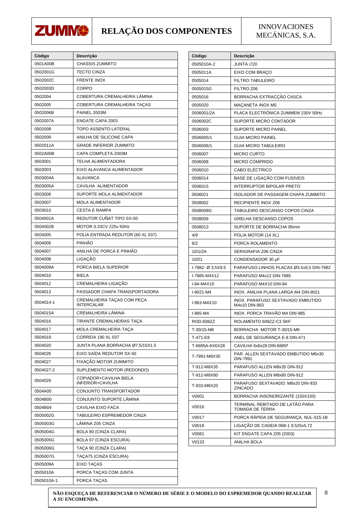

## **RELAÇÃO DOS COMPONENTES** INNOVACIONES

MECÁNICAS, S.A.

| Código     | Descrição                                       |
|------------|-------------------------------------------------|
| 0501A00B   | <b>CHASSIS ZUMMITO</b>                          |
| 0502001G   | <b>TECTO CINZA</b>                              |
| 0502002C   | <b>FRENTE INOX</b>                              |
| 0502003D   | CORPO                                           |
| 0502004    | COBERTURA CREMALHEIRA LÂMINA                    |
| 0502005    | COBERTURA CREMALHEIRA TAÇAS                     |
| 0502006B   | <b>PAINEL 2003M</b>                             |
| 0502007A   | <b>ENGATE CAPA 2003</b>                         |
| 0502008    | <b>TOPO ASSENTO LATERAL</b>                     |
| 0502009    | ANILHA DE SILICONE CAPA                         |
| 0502011A   | <b>GRADE INFERIOR ZUMMITO</b>                   |
| 0502A00B   | CAPA COMPLETA 2003M                             |
| 0503001    | TELHA ALIMENTADORA                              |
| 0503003    | EIXO ALAVANCA ALIMENTADOR                       |
| 0503004A   | <b>ALAVANCA</b>                                 |
| 0503005A   | CAVILHA ALIMENTADOR                             |
| 0503006    | SUPORTE MOLA ALIMENTADOR                        |
| 0503007    | MOLA ALIMENTADOR                                |
| 0503010    | <b>CESTA E RAMPA</b>                            |
| 0504001A   | REDUTOR CUÑAT TIPO SX-50                        |
| 0504002B   | MOTOR 0.33CV 225v 50Hz                          |
| 0504005    | POLIA ENTRADA REDUTOR (60 XL 037)               |
| 0504006    | PINHÃO                                          |
| 0504007    | ANILHA DE PORCA E PINHÃO                        |
| 0504008    | LIGAÇÃO                                         |
| 0504009A   | PORCA BIELA SUPERIOR                            |
| 0504010    | BIELA                                           |
| 0504012    | CREMALHEIRA LIGAÇÃO                             |
| 0504013    | PASSADOR CHAPA TRANSPORTADORA                   |
| 0504014-1  | CREMALHEIRA TAÇAS COM PEÇA<br><b>INTERCALAR</b> |
| 0504015A   | CREMALHEIRA LÄMINA                              |
| 0504016    | TIRANTE CREMALHEIRAS TAÇA                       |
| 0504017    | MOLA CREMALHEIRA TAÇA                           |
| 0504019    | CORREIA 190 XL 037                              |
| 0504020    | JUNTA PLANA BORRACHA Ø7.5/15X1.5                |
| 0504026    | EIXO SAÍDA REDUTOR SX-50                        |
| 0504027    | FIXAÇÃO MOTOR ZUMMITO                           |
| 0504027-2  | SUPLEMENTO MOTOR (REDONDO)                      |
| 0504028    | COPIADOR+CAVILHA BIELA<br>INFERIOR+CAVILHA      |
| 0504A00    | CONJUNTO TRANSPORTADOR                          |
| 0504B00    | CONJUNTO SUPORTE LÄMINA                         |
| 0504B04    | CAVILHA EIXO FACA                               |
| 0505002G   | TABULEIRO ESPREMEDOR CINZA                      |
| 0505003G   | LÂMINA Z05 CINZA                                |
| 0505004G   | BOLA 80 (CINZA CLARA)                           |
| 0505005G   | <b>BOLA 67 (CINZA ESCURA)</b>                   |
| 0505006G   | TAÇA 90 (CINZA CLARA)                           |
| 0505007G   | TAÇA75 (CINZA ESCURA)                           |
| 0505009A   | EIXO TAÇAS                                      |
| 0505010A   | PORCA TAÇAS COM JUNTA                           |
| 0505010A-1 | PORCA TAÇAS                                     |

| 0505010A-2<br>JUNTA ∅20<br>0505011A<br>EIXO COM BRACO<br>0505014<br><b>FILTRO TABULEIRO</b><br>FILTRO Z06<br>0505015G<br>BORRACHA EXTRACÇÃO CASCA<br>0505016<br>MACANETA INOX M5<br>0505020<br>PLACA ELECTRÓNICA ZUMMEM 230V 50Hz<br>0506001/2A<br>SUPORTE MICRO CONTADOR<br>0506002C<br><b>SUPORTE MICRO PAINEL</b><br>0506003<br><b>GUIA MICRO PAINEL</b><br>0506005/1<br><b>GUIA MICRO TABULEIRO</b><br>0506006/1<br><b>MICRO CURTO</b><br>0506007<br><b>MICRO COMPRIDO</b><br>0506008<br>CABO ELÉCTRICO<br>0506010<br>BASE DE LIGAÇÃO COM FUSÍVEIS<br>0506014<br><b>INTERRUPTOR BIPOLAR PRETO</b><br>0506015<br><b>ISOLADOR DE PASSAGEM CHAPA ZUMMITO</b><br>0506021<br>RECIPIENTE INOX Z06<br>0508002<br>TABULEIRO DESCANSO COPOS CINZA<br>0508008G<br>GRELHA DESCANSO COPOS<br>0508009<br>SUPORTE DE BORRACHA 85mm<br>0508013<br>4/9<br>POLIA MOTOR (14 XL)<br>PORCA ROLAMENTO<br>6/2<br>10/1/2A<br>SERIGRAFIA Z06 CINZA<br>CONDENSADOR 30 µF<br>10/21<br>I-7982- Ø 3.5X9.5<br>PARAFUSO LINHOS PLACAS Ø3.5x9,5 DIN-7982<br>PARAFUSO M4x12 DIN-7985<br>I-7985-M4X12<br>PARAFUSO M4X10 DIN-84<br>I-84-M4X10<br>I-9021-M4<br>INOX. ANILHA PLANA LARGA M4 DIN-9021<br>INOX. PARAFUSO SEXTAVADO EMBUTIDO<br>I-963-M4X10<br>M4x10 DIN-963<br>INOX. PORCA TRAVÃO M4 DIN-985<br>I-985-M4<br><b>ROD.608ZZ</b><br>ROLAMENTO 608ZZ-C3 SKF<br>BORRACHA MOTOR T-30/15-M6<br>T-30/15-M6<br>T-471-E8<br>ANEL DE SEGURANCA E-8 DIN-471<br>T-6885A-6X6X28<br>CAVILHA 6x6x28 DIN-6885ª<br>PAR. ALLEN SEXTAVADO EMBUTIDO M6x30<br>T-7991-M6X30<br>DIN-7991<br>PARAFUSO ALLEN M8x35 DIN-912<br>T-912-M8X35<br>T-912-M8X80<br>PARAFUSO ALLEN M8x80 DIN-912<br>PARAFUSO SEXTAVADO. M8x20 DIN-933<br>T-933-M8X20<br><b>ZINCADO</b><br>BORRACHA INSONORIZANTE (150X150)<br>V0001<br>TERMINAL REBITADO DE LATÃO PARA<br>V0016<br>TOMADA DE TERRA<br>V0017<br>PORCA RAPIDA DE SEGURANÇA. NUL-515-1B<br>LIGAÇÃO DE CADEIA 06B-1 9.525x5.72<br>V0018<br>KIT ENGATE CAPA Z05 (2003)<br>V0081<br>V0133<br>ANILHA BOLA | Código | Descrição |
|-----------------------------------------------------------------------------------------------------------------------------------------------------------------------------------------------------------------------------------------------------------------------------------------------------------------------------------------------------------------------------------------------------------------------------------------------------------------------------------------------------------------------------------------------------------------------------------------------------------------------------------------------------------------------------------------------------------------------------------------------------------------------------------------------------------------------------------------------------------------------------------------------------------------------------------------------------------------------------------------------------------------------------------------------------------------------------------------------------------------------------------------------------------------------------------------------------------------------------------------------------------------------------------------------------------------------------------------------------------------------------------------------------------------------------------------------------------------------------------------------------------------------------------------------------------------------------------------------------------------------------------------------------------------------------------------------------------------------------------------------------------------------------------------------------------------------------------------------------------------------------------------------------------------------------------------------------------------------------------------------|--------|-----------|
|                                                                                                                                                                                                                                                                                                                                                                                                                                                                                                                                                                                                                                                                                                                                                                                                                                                                                                                                                                                                                                                                                                                                                                                                                                                                                                                                                                                                                                                                                                                                                                                                                                                                                                                                                                                                                                                                                                                                                                                               |        |           |
|                                                                                                                                                                                                                                                                                                                                                                                                                                                                                                                                                                                                                                                                                                                                                                                                                                                                                                                                                                                                                                                                                                                                                                                                                                                                                                                                                                                                                                                                                                                                                                                                                                                                                                                                                                                                                                                                                                                                                                                               |        |           |
|                                                                                                                                                                                                                                                                                                                                                                                                                                                                                                                                                                                                                                                                                                                                                                                                                                                                                                                                                                                                                                                                                                                                                                                                                                                                                                                                                                                                                                                                                                                                                                                                                                                                                                                                                                                                                                                                                                                                                                                               |        |           |
|                                                                                                                                                                                                                                                                                                                                                                                                                                                                                                                                                                                                                                                                                                                                                                                                                                                                                                                                                                                                                                                                                                                                                                                                                                                                                                                                                                                                                                                                                                                                                                                                                                                                                                                                                                                                                                                                                                                                                                                               |        |           |
|                                                                                                                                                                                                                                                                                                                                                                                                                                                                                                                                                                                                                                                                                                                                                                                                                                                                                                                                                                                                                                                                                                                                                                                                                                                                                                                                                                                                                                                                                                                                                                                                                                                                                                                                                                                                                                                                                                                                                                                               |        |           |
|                                                                                                                                                                                                                                                                                                                                                                                                                                                                                                                                                                                                                                                                                                                                                                                                                                                                                                                                                                                                                                                                                                                                                                                                                                                                                                                                                                                                                                                                                                                                                                                                                                                                                                                                                                                                                                                                                                                                                                                               |        |           |
|                                                                                                                                                                                                                                                                                                                                                                                                                                                                                                                                                                                                                                                                                                                                                                                                                                                                                                                                                                                                                                                                                                                                                                                                                                                                                                                                                                                                                                                                                                                                                                                                                                                                                                                                                                                                                                                                                                                                                                                               |        |           |
|                                                                                                                                                                                                                                                                                                                                                                                                                                                                                                                                                                                                                                                                                                                                                                                                                                                                                                                                                                                                                                                                                                                                                                                                                                                                                                                                                                                                                                                                                                                                                                                                                                                                                                                                                                                                                                                                                                                                                                                               |        |           |
|                                                                                                                                                                                                                                                                                                                                                                                                                                                                                                                                                                                                                                                                                                                                                                                                                                                                                                                                                                                                                                                                                                                                                                                                                                                                                                                                                                                                                                                                                                                                                                                                                                                                                                                                                                                                                                                                                                                                                                                               |        |           |
|                                                                                                                                                                                                                                                                                                                                                                                                                                                                                                                                                                                                                                                                                                                                                                                                                                                                                                                                                                                                                                                                                                                                                                                                                                                                                                                                                                                                                                                                                                                                                                                                                                                                                                                                                                                                                                                                                                                                                                                               |        |           |
|                                                                                                                                                                                                                                                                                                                                                                                                                                                                                                                                                                                                                                                                                                                                                                                                                                                                                                                                                                                                                                                                                                                                                                                                                                                                                                                                                                                                                                                                                                                                                                                                                                                                                                                                                                                                                                                                                                                                                                                               |        |           |
|                                                                                                                                                                                                                                                                                                                                                                                                                                                                                                                                                                                                                                                                                                                                                                                                                                                                                                                                                                                                                                                                                                                                                                                                                                                                                                                                                                                                                                                                                                                                                                                                                                                                                                                                                                                                                                                                                                                                                                                               |        |           |
|                                                                                                                                                                                                                                                                                                                                                                                                                                                                                                                                                                                                                                                                                                                                                                                                                                                                                                                                                                                                                                                                                                                                                                                                                                                                                                                                                                                                                                                                                                                                                                                                                                                                                                                                                                                                                                                                                                                                                                                               |        |           |
|                                                                                                                                                                                                                                                                                                                                                                                                                                                                                                                                                                                                                                                                                                                                                                                                                                                                                                                                                                                                                                                                                                                                                                                                                                                                                                                                                                                                                                                                                                                                                                                                                                                                                                                                                                                                                                                                                                                                                                                               |        |           |
|                                                                                                                                                                                                                                                                                                                                                                                                                                                                                                                                                                                                                                                                                                                                                                                                                                                                                                                                                                                                                                                                                                                                                                                                                                                                                                                                                                                                                                                                                                                                                                                                                                                                                                                                                                                                                                                                                                                                                                                               |        |           |
|                                                                                                                                                                                                                                                                                                                                                                                                                                                                                                                                                                                                                                                                                                                                                                                                                                                                                                                                                                                                                                                                                                                                                                                                                                                                                                                                                                                                                                                                                                                                                                                                                                                                                                                                                                                                                                                                                                                                                                                               |        |           |
|                                                                                                                                                                                                                                                                                                                                                                                                                                                                                                                                                                                                                                                                                                                                                                                                                                                                                                                                                                                                                                                                                                                                                                                                                                                                                                                                                                                                                                                                                                                                                                                                                                                                                                                                                                                                                                                                                                                                                                                               |        |           |
|                                                                                                                                                                                                                                                                                                                                                                                                                                                                                                                                                                                                                                                                                                                                                                                                                                                                                                                                                                                                                                                                                                                                                                                                                                                                                                                                                                                                                                                                                                                                                                                                                                                                                                                                                                                                                                                                                                                                                                                               |        |           |
|                                                                                                                                                                                                                                                                                                                                                                                                                                                                                                                                                                                                                                                                                                                                                                                                                                                                                                                                                                                                                                                                                                                                                                                                                                                                                                                                                                                                                                                                                                                                                                                                                                                                                                                                                                                                                                                                                                                                                                                               |        |           |
|                                                                                                                                                                                                                                                                                                                                                                                                                                                                                                                                                                                                                                                                                                                                                                                                                                                                                                                                                                                                                                                                                                                                                                                                                                                                                                                                                                                                                                                                                                                                                                                                                                                                                                                                                                                                                                                                                                                                                                                               |        |           |
|                                                                                                                                                                                                                                                                                                                                                                                                                                                                                                                                                                                                                                                                                                                                                                                                                                                                                                                                                                                                                                                                                                                                                                                                                                                                                                                                                                                                                                                                                                                                                                                                                                                                                                                                                                                                                                                                                                                                                                                               |        |           |
|                                                                                                                                                                                                                                                                                                                                                                                                                                                                                                                                                                                                                                                                                                                                                                                                                                                                                                                                                                                                                                                                                                                                                                                                                                                                                                                                                                                                                                                                                                                                                                                                                                                                                                                                                                                                                                                                                                                                                                                               |        |           |
|                                                                                                                                                                                                                                                                                                                                                                                                                                                                                                                                                                                                                                                                                                                                                                                                                                                                                                                                                                                                                                                                                                                                                                                                                                                                                                                                                                                                                                                                                                                                                                                                                                                                                                                                                                                                                                                                                                                                                                                               |        |           |
|                                                                                                                                                                                                                                                                                                                                                                                                                                                                                                                                                                                                                                                                                                                                                                                                                                                                                                                                                                                                                                                                                                                                                                                                                                                                                                                                                                                                                                                                                                                                                                                                                                                                                                                                                                                                                                                                                                                                                                                               |        |           |
|                                                                                                                                                                                                                                                                                                                                                                                                                                                                                                                                                                                                                                                                                                                                                                                                                                                                                                                                                                                                                                                                                                                                                                                                                                                                                                                                                                                                                                                                                                                                                                                                                                                                                                                                                                                                                                                                                                                                                                                               |        |           |
|                                                                                                                                                                                                                                                                                                                                                                                                                                                                                                                                                                                                                                                                                                                                                                                                                                                                                                                                                                                                                                                                                                                                                                                                                                                                                                                                                                                                                                                                                                                                                                                                                                                                                                                                                                                                                                                                                                                                                                                               |        |           |
|                                                                                                                                                                                                                                                                                                                                                                                                                                                                                                                                                                                                                                                                                                                                                                                                                                                                                                                                                                                                                                                                                                                                                                                                                                                                                                                                                                                                                                                                                                                                                                                                                                                                                                                                                                                                                                                                                                                                                                                               |        |           |
|                                                                                                                                                                                                                                                                                                                                                                                                                                                                                                                                                                                                                                                                                                                                                                                                                                                                                                                                                                                                                                                                                                                                                                                                                                                                                                                                                                                                                                                                                                                                                                                                                                                                                                                                                                                                                                                                                                                                                                                               |        |           |
|                                                                                                                                                                                                                                                                                                                                                                                                                                                                                                                                                                                                                                                                                                                                                                                                                                                                                                                                                                                                                                                                                                                                                                                                                                                                                                                                                                                                                                                                                                                                                                                                                                                                                                                                                                                                                                                                                                                                                                                               |        |           |
|                                                                                                                                                                                                                                                                                                                                                                                                                                                                                                                                                                                                                                                                                                                                                                                                                                                                                                                                                                                                                                                                                                                                                                                                                                                                                                                                                                                                                                                                                                                                                                                                                                                                                                                                                                                                                                                                                                                                                                                               |        |           |
|                                                                                                                                                                                                                                                                                                                                                                                                                                                                                                                                                                                                                                                                                                                                                                                                                                                                                                                                                                                                                                                                                                                                                                                                                                                                                                                                                                                                                                                                                                                                                                                                                                                                                                                                                                                                                                                                                                                                                                                               |        |           |
|                                                                                                                                                                                                                                                                                                                                                                                                                                                                                                                                                                                                                                                                                                                                                                                                                                                                                                                                                                                                                                                                                                                                                                                                                                                                                                                                                                                                                                                                                                                                                                                                                                                                                                                                                                                                                                                                                                                                                                                               |        |           |
|                                                                                                                                                                                                                                                                                                                                                                                                                                                                                                                                                                                                                                                                                                                                                                                                                                                                                                                                                                                                                                                                                                                                                                                                                                                                                                                                                                                                                                                                                                                                                                                                                                                                                                                                                                                                                                                                                                                                                                                               |        |           |
|                                                                                                                                                                                                                                                                                                                                                                                                                                                                                                                                                                                                                                                                                                                                                                                                                                                                                                                                                                                                                                                                                                                                                                                                                                                                                                                                                                                                                                                                                                                                                                                                                                                                                                                                                                                                                                                                                                                                                                                               |        |           |
|                                                                                                                                                                                                                                                                                                                                                                                                                                                                                                                                                                                                                                                                                                                                                                                                                                                                                                                                                                                                                                                                                                                                                                                                                                                                                                                                                                                                                                                                                                                                                                                                                                                                                                                                                                                                                                                                                                                                                                                               |        |           |
|                                                                                                                                                                                                                                                                                                                                                                                                                                                                                                                                                                                                                                                                                                                                                                                                                                                                                                                                                                                                                                                                                                                                                                                                                                                                                                                                                                                                                                                                                                                                                                                                                                                                                                                                                                                                                                                                                                                                                                                               |        |           |
|                                                                                                                                                                                                                                                                                                                                                                                                                                                                                                                                                                                                                                                                                                                                                                                                                                                                                                                                                                                                                                                                                                                                                                                                                                                                                                                                                                                                                                                                                                                                                                                                                                                                                                                                                                                                                                                                                                                                                                                               |        |           |
|                                                                                                                                                                                                                                                                                                                                                                                                                                                                                                                                                                                                                                                                                                                                                                                                                                                                                                                                                                                                                                                                                                                                                                                                                                                                                                                                                                                                                                                                                                                                                                                                                                                                                                                                                                                                                                                                                                                                                                                               |        |           |
|                                                                                                                                                                                                                                                                                                                                                                                                                                                                                                                                                                                                                                                                                                                                                                                                                                                                                                                                                                                                                                                                                                                                                                                                                                                                                                                                                                                                                                                                                                                                                                                                                                                                                                                                                                                                                                                                                                                                                                                               |        |           |
|                                                                                                                                                                                                                                                                                                                                                                                                                                                                                                                                                                                                                                                                                                                                                                                                                                                                                                                                                                                                                                                                                                                                                                                                                                                                                                                                                                                                                                                                                                                                                                                                                                                                                                                                                                                                                                                                                                                                                                                               |        |           |
|                                                                                                                                                                                                                                                                                                                                                                                                                                                                                                                                                                                                                                                                                                                                                                                                                                                                                                                                                                                                                                                                                                                                                                                                                                                                                                                                                                                                                                                                                                                                                                                                                                                                                                                                                                                                                                                                                                                                                                                               |        |           |
|                                                                                                                                                                                                                                                                                                                                                                                                                                                                                                                                                                                                                                                                                                                                                                                                                                                                                                                                                                                                                                                                                                                                                                                                                                                                                                                                                                                                                                                                                                                                                                                                                                                                                                                                                                                                                                                                                                                                                                                               |        |           |
|                                                                                                                                                                                                                                                                                                                                                                                                                                                                                                                                                                                                                                                                                                                                                                                                                                                                                                                                                                                                                                                                                                                                                                                                                                                                                                                                                                                                                                                                                                                                                                                                                                                                                                                                                                                                                                                                                                                                                                                               |        |           |
|                                                                                                                                                                                                                                                                                                                                                                                                                                                                                                                                                                                                                                                                                                                                                                                                                                                                                                                                                                                                                                                                                                                                                                                                                                                                                                                                                                                                                                                                                                                                                                                                                                                                                                                                                                                                                                                                                                                                                                                               |        |           |
|                                                                                                                                                                                                                                                                                                                                                                                                                                                                                                                                                                                                                                                                                                                                                                                                                                                                                                                                                                                                                                                                                                                                                                                                                                                                                                                                                                                                                                                                                                                                                                                                                                                                                                                                                                                                                                                                                                                                                                                               |        |           |

**NÃO ESQUEÇA DE REFERENCIAR O NÚMERO DE SÉRIE E O MODELO DO ESPREMEDOR QUANDO REALIZAR A SU ENCOMENDA.**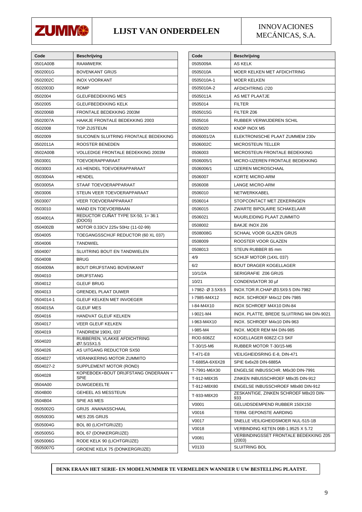

#### **LIJST VAN ONDERDELEN INNOVACIONES**

MECÁNICAS, S.A.

| Code      | Beschrijving                                 |
|-----------|----------------------------------------------|
| 0501A00B  | <b>RAAMWERK</b>                              |
| 0502001G  | BOVENKANT GRIJS                              |
| 0502002C  | <b>INOX VOORKANT</b>                         |
| 0502003D  | <b>ROMP</b>                                  |
| 0502004   | <b>GLEUFBEDEKKING MES</b>                    |
| 0502005   | <b>GLEUFBEDEKKING KELK</b>                   |
| 0502006B  | FRONTALE BEDEKKING 2003M                     |
| 0502007A  | HAAKJE FRONTALE BEDEKKING 2003               |
| 0502008   | TOP ZIJSTEUN                                 |
| 0502009   | SILICONEN SLUITRING FRONTALE BEDEKKING       |
| 0502011A  | ROOSTER BENEDEN                              |
| 0502A00B  | VOLLEDIGE FRONTALE BEDEKKING 2003M           |
| 0503001   | TOEVOERAPPARAAT                              |
| 0503003   | AS HENDEL TOEVOERAPPARAAT                    |
| 0503004A  | HENDEL                                       |
| 0503005A  | STAAF TOEVOERAPPARAAT                        |
| 0503006   | STEUN VEER TOEVOERAPPARAAT                   |
| 0503007   | <b>VEER TOEVOERAPPARAAT</b>                  |
| 0503010   | <b>MAND EN TOEVOERBAAN</b>                   |
| 0504001A  | REDUCTOR CUÑAT TYPE SX-50, 1= 36:1<br>(DOOS) |
| 0504002B  | MOTOR 0.33CV 225v 50Hz (11-02-99)            |
| 0504005   | TOEGANGSSCHIJF REDUCTOR (60 XL 037)          |
| 0504006   | <b>TANDWIEL</b>                              |
| 0504007   | SLUITRING BOUT EN TANDWIELEN                 |
| 0504008   | <b>BRUG</b>                                  |
| 0504009A  | BOUT DRIJFSTANG BOVENKANT                    |
| 0504010   | DRIJFSTANG                                   |
| 0504012   | GLEUF BRUG                                   |
| 0504013   | <b>GRENDEL PLAAT DUWER</b>                   |
| 0504014-1 | <b>GLEUF KELKEN MET INVOEGER</b>             |
| 0504015A  | <b>GLEUF MES</b>                             |
| 0504016   | HANDVAT GLEUF KELKEN                         |
| 0504017   | VEER GLEUF KELKEN                            |
| 0504019   | TANDRIEM 190XL 037                           |
| 0504020   | RUBBEREN, VLAKKE AFDICHTRING<br>Ø7.5/15X1.5  |
| 0504026   | AS UITGANG REDUCTOR SX50                     |
| 0504027   | <b>VERANKERING MOTOR ZUMMITO</b>             |
| 0504027-2 | SUPPLEMENT MOTOR (ROND)                      |
| 0504028   | KOPIEBOEK+BOUT DRIJFSTANG ONDERAAN +<br>SPIE |
| 0504A00   | <b>DUWGEDEELTE</b>                           |
| 0504B00   | <b>GEHEEL AS MESSTEUN</b>                    |
| 0504B04   | SPIE AS MES                                  |
| 0505002G  | GRIJS ANANASSCHAAL                           |
| 0505003G  | MES Z05 GRIJS                                |
| 0505004G  | <b>BOL 80 (LICHTGRIJZE)</b>                  |
| 0505005G  | <b>BOL 67 (DONKERGRIJZE)</b>                 |
| 0505006G  | RODE KELK 90 (LICHTGRIJZE)                   |
| 0505007G  | <b>GROENE KELK 75 (DONKERGRIJZE)</b>         |

| Code              | <b>Beschrijving</b>                             |
|-------------------|-------------------------------------------------|
| 0505009A          | AS KELK                                         |
| 0505010A          | MOER KELKEN MET AFDICHTRING                     |
| 0505010A-1        | <b>MOER KELKEN</b>                              |
| 0505010A-2        | AFDICHTRING ∅20                                 |
| 0505011A          | AS MET PLAATJE                                  |
| 0505014           | <b>FILTER</b>                                   |
| 0505015G          | FILTER Z06                                      |
| 0505016           | RUBBER VERWIJDEREN SCHIL                        |
| 0505020           | KNOP INOX M5                                    |
| 0506001/2A        | ELEKTRONISCHE PLAAT ZUMMEM 230v                 |
| 0506002C          | <b>MICROSTEUN TELLER</b>                        |
| 0506003           | MICROSTEUN FRONTALE BEDEKKING                   |
| 0506005/1         | MICRO-IJZEREN FRONTALE BEDEKKING                |
| 0506006/1         | <b>IJZEREN MICROSCHAAL</b>                      |
| 0506007           | <b>KORTE MICRO-ARM</b>                          |
| 0506008           | <b>LANGE MICRO-ARM</b>                          |
| 0506010           | NETWERKKABEL                                    |
| 0506014           | STOPCONTACT MET ZEKERINGEN                      |
| 0506015           | ZWARTE BIPOLAIRE SCHAKELAAR                     |
| 0506021           | MUURLEIDING PLAAT ZUMMITO                       |
| 0508002           | BAKJE INOX Z06                                  |
| 0508008G          | SCHAAL VOOR GLAZEN GRIJS                        |
| 0508009           | ROOSTER VOOR GLAZEN                             |
| 0508013           | STEUN RUBBER 85 mm                              |
| 4/9               | SCHIJF MOTOR (14XL 037)                         |
| 6/2               | <b>BOUT DRAGER KOGELLAGER</b>                   |
| 10/1/2A           | SERIGRAFIE Z06 GRIJS                            |
| 10/21             | CONDENSATOR 30 µf                               |
| I-7982- Ø 3.5X9.5 | INOX.TOR.R.CHAP.Ø3.5X9.5 DIN-7982               |
| I-7985-M4X12      | INOX. SCHROEF M4x12 DIN-7985                    |
| I-84-M4X10        | INOX SCHROEF M4X10 DIN-84                       |
| I-9021-M4         | INOX. PLATTE, BREDE SLUITRING M4 DIN-9021       |
| I-963-M4X10       | INOX. SCHROEF M4x10 DIN-963                     |
| I-985-M4          | INOX. MOER REM M4 DIN-985                       |
| ROD.608ZZ         | KOGELLAGER 608ZZ-C3 SKF                         |
| T-30/15-M6        | RUBBER MOTOR T-30/15-M6                         |
| T-471-E8          | VEILIGHEIDSRING E-8, DIN-471                    |
| T-6885A-6X6X28    | SPIE 6x6x28 DIN-6885A                           |
| T-7991-M6X30      | ENGELSE INBUSSCHR. M6x30 DIN-7991               |
| T-912-M8X35       | ZINKEN INBUSSCHROEF M8x35 DIN-912               |
| T-912-M8X80       | ENGELSE INBUSSCHROEF M8x80 DIN-912              |
| T-933-M8X20       | ZESKANTIGE. ZINKEN SCHROEF M8x20 DIN-<br>933    |
| V0001             | GELUIDSDEMPEND RUBBER 150X150                   |
| V0016             | TERM. GEPONSTE AARDING                          |
| V0017             | SNELLE VEILIGHEIDSMOER NUL-515-1B               |
| V0018             | <b>VERBINDING KETEN 06B-1.9525 X 5.72</b>       |
| V0081             | VERBINDINGSSET FRONTALE BEDEKKING Z05<br>(2003) |
| V0133             | SLUITRING BOL                                   |

**DENK ERAAN HET SERIE- EN MODELNUMMER TE VERMELDEN WANNEER U UW BESTELLING PLAATST.**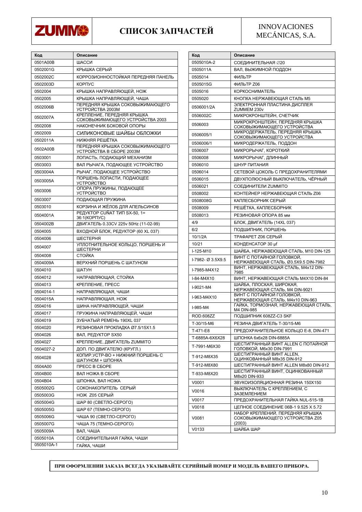

### **СПИСОК ЗАПЧАСТЕЙ** INNOVACIONES

MECÁNICAS, S.A.

| Код        | Описание                                                      |
|------------|---------------------------------------------------------------|
| 0501A00B   | ШАССИ                                                         |
| 0502001G   | КРЫШКА СЕРЫЙ                                                  |
| 0502002C   | КОРРОЗИОННОСТОЙКАЯ ПЕРЕДНЯЯ ПАНЕЛЬ                            |
| 0502003D   | КОРПУС                                                        |
| 0502004    | КРЫШКА НАПРАВЛЯЮЩЕЙ, НОЖ                                      |
| 0502005    | КРЫШКА НАПРАВЛЯЮЩЕЙ, ЧАША                                     |
| 0502006B   | ПЕРЕДНЯЯ КРЫШКА СОКОВЫЖИМАЮЩЕГО<br>УСТРОЙСТВА 2003M           |
| 0502007A   | КРЕПЛЕНИЕ, ПЕРЕДНЯЯ КРЫШКА<br>СОКОВЫЖИМАЮЩЕГО УСТРОЙСТВА 2003 |
| 0502008    | НАКОНЕЧНИК БОКОВОЙ ОПОРЫ                                      |
| 0502009    | СИЛИКОНОВЫЕ ШАЙБЫ ОБЛОЖКИ                                     |
| 0502011A   | НИЖНЯЯ РЕШЁТКА                                                |
| 0502A00B   | ПЕРЕДНЯЯ КРЫШКА СОКОВЫЖИМАЮЩЕГО<br>УСТРОЙСТВА В СБОРЕ 2003М   |
| 0503001    | ЛОПАСТЬ, ПОДАЮЩИЙ МЕХАНИЗМ                                    |
| 0503003    | ВАЛ РЫЧАГА, ПОДАЮЩЕЕ УСТРОЙСТВО                               |
| 0503004A   | РЫЧАГ, ПОДАЮЩЕЕ УСТРОЙСТВО                                    |
| 0503005A   | ПОРШЕНЬ ЛОПАСТИ. ПОДАЮЩЕЕ<br><b>УСТРОЙСТВО</b>                |
| 0503006    | ОПОРА ПРУЖИНЫ, ПОДАЮЩЕЕ<br><b>УСТРОЙСТВО</b>                  |
| 0503007    | ПОДАЮЩАЯ ПРУЖИНА                                              |
| 0503010    | КОРЗИНА И ЖЁЛОБ ДЛЯ АПЕЛЬСИНОВ                                |
| 0504001A   | РЕДУКТОР CUÑAT ТИП SX-50, 1=<br>36:1(KOPITYC)                 |
| 0504002B   | ДВИГАТЕЛЬ 0.33CV 225v 50Hz (11-02-99)                         |
| 0504005    | ВХОДНОЙ БЛОК, РЕДУКТОР (60 XL 037)                            |
| 0504006    | ШЕСТЕРНЯ                                                      |
| 0504007    | УПЛОТНИТЕЛЬНОЕ КОЛЬЦО, ПОРШЕНЬ И<br>ШЕСТЕРНИ                  |
| 0504008    | СТОЙКА                                                        |
| 0504009A   | ВЕРХНИЙ ПОРШЕНЬ С ШАТУНОМ                                     |
| 0504010    | ШАТУН                                                         |
| 0504012    | НАПРАВЛЯЮЩАЯ, СТОЙКА                                          |
| 0504013    | КРЕПЛЕНИЕ, ПРЕСС                                              |
| 0504014-1  | НАПРАВЛЯЮЩАЯ, ЧАШИ                                            |
| 0504015A   | НАПРАВЛЯЮЩАЯ, НОЖ                                             |
| 0504016    | ШИНА НАПРАВЛЯЮЩЕЙ, ЧАШИ                                       |
| 0504017    | ПРУЖИНА НАПРАВЛЯЮЩЕЙ, ЧАШИ                                    |
| 0504019    | ЗУБЧАТЫЙ РЕМЕНЬ 190XL 037                                     |
| 0504020    | РЕЗИНОВАЯ ПРОКЛАДКА Ø7.5/15Х1.5                               |
| 0504026    | ВАЛ, РЕДУКТОР SX50                                            |
| 0504027    | <b>КРЕПЛЕНИЕ, ДВИГАТЕЛЬ ZUMMITO</b>                           |
| 0504027-2  | ДОП. ПО ДВИГАТЕЛЮ (КРУГЛ.)                                    |
| 0504028    | КОПИР.УСТР-ВО + НИЖНИЙ ПОРШЕНЬ С<br>ШАТУНОМ + ШПОНКА          |
| 0504A00    | <b><i>NPECC B CBOPE</i></b>                                   |
| 0504B00    | ВАЛ НОЖА В СБОРЕ                                              |
| 0504B04    | ШПОНКА, ВАЛ НОЖА                                              |
| 0505002G   | СОКОНАКОПИТЕЛЬ СЕРЫЙ                                          |
| 0505003G   | <b>НОЖ Z05 СЕРЫЙ</b>                                          |
| 0505004G   | ШАР 80 (СВЕТЛО-СЕРОГО)                                        |
| 0505005G   | ШАР 67 (ТЕМНО-СЕРОГО)                                         |
| 0505006G   | ЧАША 90 (СВЕТЛО-СЕРОГО)                                       |
| 0505007G   | ЧАША 75 (ТЕМНО-СЕРОГО)                                        |
| 0505009A   | ВАЛ, ЧАША                                                     |
| 0505010A   | СОЕДИНИТЕЛЬНАЯ ГАЙКА, ЧАШИ                                    |
| 0505010A-1 | ГАЙКА, ЧАШИ                                                   |

| Код               | Описание                                                                                                     |
|-------------------|--------------------------------------------------------------------------------------------------------------|
| 0505010A-2        | СОЕДИНИТЕЛЬНАЯ ∅20                                                                                           |
| 0505011A          | ВАЛ, ВЫЖИМНОЙ ПОДДОН                                                                                         |
| 0505014           | ФИЛЬТР                                                                                                       |
| 0505015G          | ФИЛЬТР Z06                                                                                                   |
| 0505016           | <b>КОРКОСНИМАТЕЛЬ</b>                                                                                        |
| 0505020           | КНОПКА НЕРЖАВЕЮЩАЯ СТАЛЬ М5                                                                                  |
| 0506001/2A        | ЭЛЕКТРОННАЯ ПЛАСТИНА ДИСПЛЕЯ<br>ZUMMEM 230v                                                                  |
| 0506002C          | МИКРОКРОНШТЕЙН, СЧЕТЧИК                                                                                      |
| 0506003           | МИКРОКРОНШТЕЙН, ПЕРЕДНЯЯ КРЫШКА<br>СОКОВЫЖИМАЮЩЕГО УСТРОЙСТВА                                                |
| 0506005/1         | МИКРОДЕРЖАТЕЛЬ, ПЕРЕДНЯЯ КРЫШКА<br>СОКОВЫЖИМАЮЩЕГО УСТРОЙСТВА                                                |
| 0506006/1         | МИКРОДЕРЖАТЕЛЬ, ПОДДОН                                                                                       |
| 0506007           | МИКРОРЫЧАГ, КОРОТКИЙ                                                                                         |
| 0506008           | МИКРОРЫЧАГ, ДЛИННЫЙ                                                                                          |
| 0506010           | ШНУР ПИТАНИЯ                                                                                                 |
| 0506014           | СЕТЕВОЙ ЦОКОЛЬ С ПРЕДОХРАНИТЕЛЯМИ                                                                            |
| 0506015           | ДВУХПОЛЮСНЫЙ ВЫКЛЮЧАТЕЛЬ, ЧЁРНЫЙ                                                                             |
| 0506021           | СОЕДИНИТЕЛИ ZUMMITO                                                                                          |
| 0508002           | КОНТЕЙНЕР НЕРЖАВЕЮЩАЯ СТАЛЬ Z06                                                                              |
| 0508008G          | КАПЛЕСБОРНИК СЕРЫЙ                                                                                           |
| 0508009           | РЕШЁТКА, КАПЛЕСБОРНИК                                                                                        |
| 0508013           | РЕЗИНОВАЯ ОПОРА 85 мм                                                                                        |
| 4/9               | БЛОК, ДВИГАТЕЛЬ (14XL 037)                                                                                   |
| 6/2               | ПОДШИПНИК, ПОРШЕНЬ                                                                                           |
| 10/1/2A           | <b>ТРАФАРЕТ Z06 СЕРЫЙ</b>                                                                                    |
| 10/21             | КОНДЕНСАТОР 30 µf                                                                                            |
| I-125-M10         | ШАЙБА, НЕРЖАВЕЮЩАЯ СТАЛЬ, М10 DIN-125                                                                        |
| I-7982- Ø 3.5X9.5 | ВИНТ С ПОТАЙНОЙ ГОЛОВКОЙ.<br>НЕРЖАВЕЮЩАЯ СТАЛЬ, Ø3.5X9.5 DIN-7982                                            |
| I-7985-M4X12      | ВИНТ, НЕРЖАВЕЮЩАЯ СТАЛЬ, M4x12 DIN-<br>7985                                                                  |
| I-84-M4X10        | ВИНТ, НЕРЖАВЕЮЩАЯ СТАЛЬ M4X10 DIN-84                                                                         |
| I-9021-M4         | ШАЙБА, ПЛОСКАЯ, ШИРОКАЯ,<br>НЕРЖАВЕЮЩАЯ СТАЛЬ, M4 DIN-9021                                                   |
| I-963-M4X10       | ВИНТ С ПОТАЙНОЙ ГОЛОВКОЙ,<br><u>НЕРЖАВЕЮЩАЯ СТАЛЬ, M4x10 DIN-963</u><br>ГАЙКА, ТОРМОЗНАЯ, НЕРЖАВЕЮЩАЯ СТАЛЬ, |
| I-985-M4          | M4 DIN-985                                                                                                   |
| ROD.608ZZ         | ПОДШИПНИК 608ZZ-C3 SKF                                                                                       |
| T-30/15-M6        | РЕЗИНА ДВИГАТЕЛЬ Т-30/15-М6                                                                                  |
| T-471-E8          | ПРЕДОХРАНИТЕЛЬНОЕ КОЛЬЦО E-8, DIN-471                                                                        |
| T-6885A-6X6X28    | ШПОНКА 6x6x28 DIN-6885A                                                                                      |
| T-7991-M6X30      | ШЕСТИГРАННЫЙ ВИНТ ALLEN С ПОТАЙНОЙ<br>ГОЛОВКОЙ, M6x30 DIN-7991                                               |
| T-912-M8X35       | ШЕСТИГРАННЫЙ ВИНТ ALLEN,<br>ОЦИНКОВАННЫЙ M8x35 DIN-912                                                       |
| T-912-M8X80       | ШЕСТИГРАННЫЙ ВИНТ ALLEN M8x80 DIN-912                                                                        |
| T-933-M8X20       | ШЕСТИГРАННЫЙ ВИНТ, ОЦИНКОВАННЫЙ<br>M8x20 DIN-933                                                             |
| V0001             | ЗВУКОИЗОЛЯЦИОННАЯ РЕЗИНА 150Х150                                                                             |
| V0016             | ВЫКЛЮЧАТЕЛЬ С КРЕПЛЕНИЕМ, С<br>ЗАЗЕМЛЕНИЕМ                                                                   |
| V0017             | ПРЕДОХРАНИТЕЛЬНАЯ ГАЙКА NUL-515-1B                                                                           |
| V0018             | ЦЕПНОЕ СОЕДИНЕНИЕ 06В-1 9.525 Х 5.72                                                                         |
| V0081             | НАБОР КРЕПЛЕНИЙ, ПЕРЕДНЯЯ КРЫШКА<br>СОКОВЫЖИМАЮЩЕГО УСТРОЙСТВА Z05<br>(2003)                                 |
| V0133             | ШАЙБА ШАР                                                                                                    |

**ПРИ ОФОРМЛЕНИИ ЗАКАЗА ВСЕГДА УКАЗЫВАЙТЕ СЕРИЙНЫЙ НОМЕР И МОДЕЛЬ ВАШЕГО ПРИБОРА.**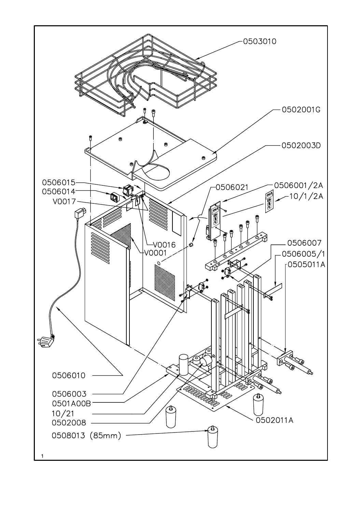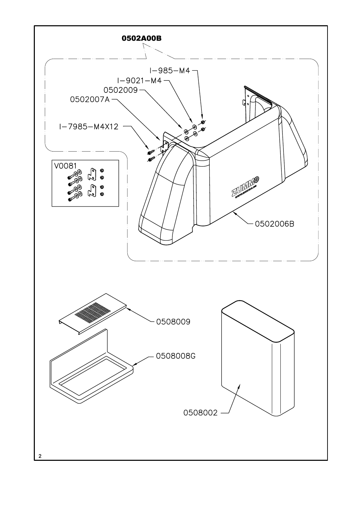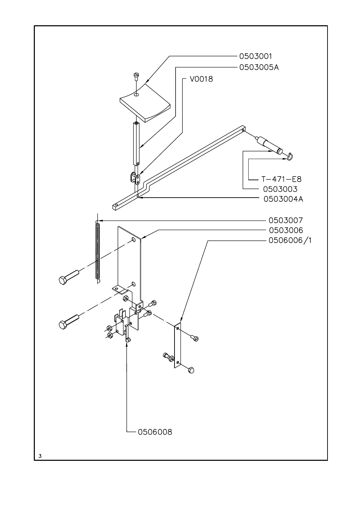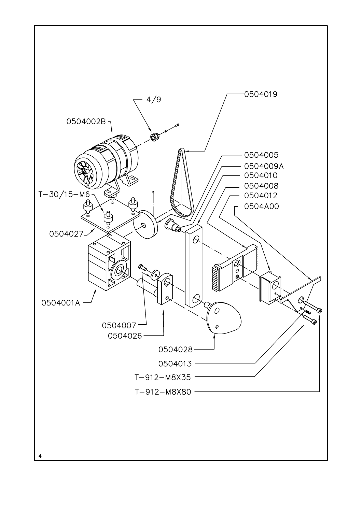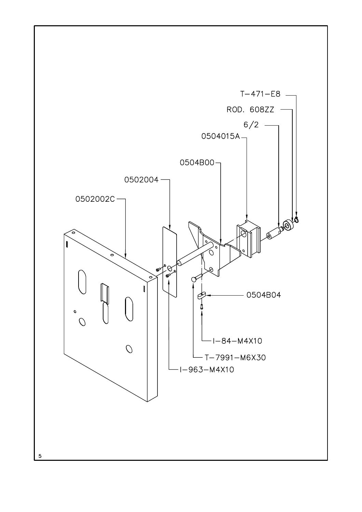![](_page_14_Figure_0.jpeg)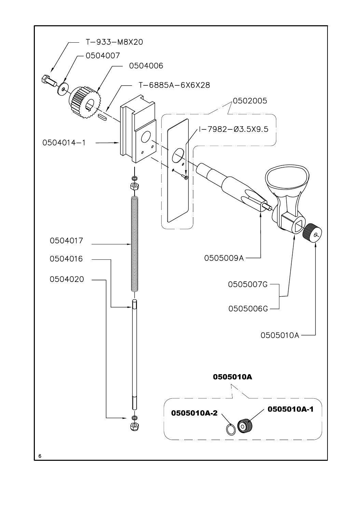![](_page_15_Figure_0.jpeg)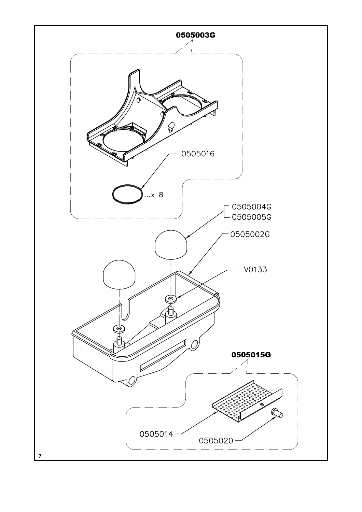![](_page_16_Figure_0.jpeg)